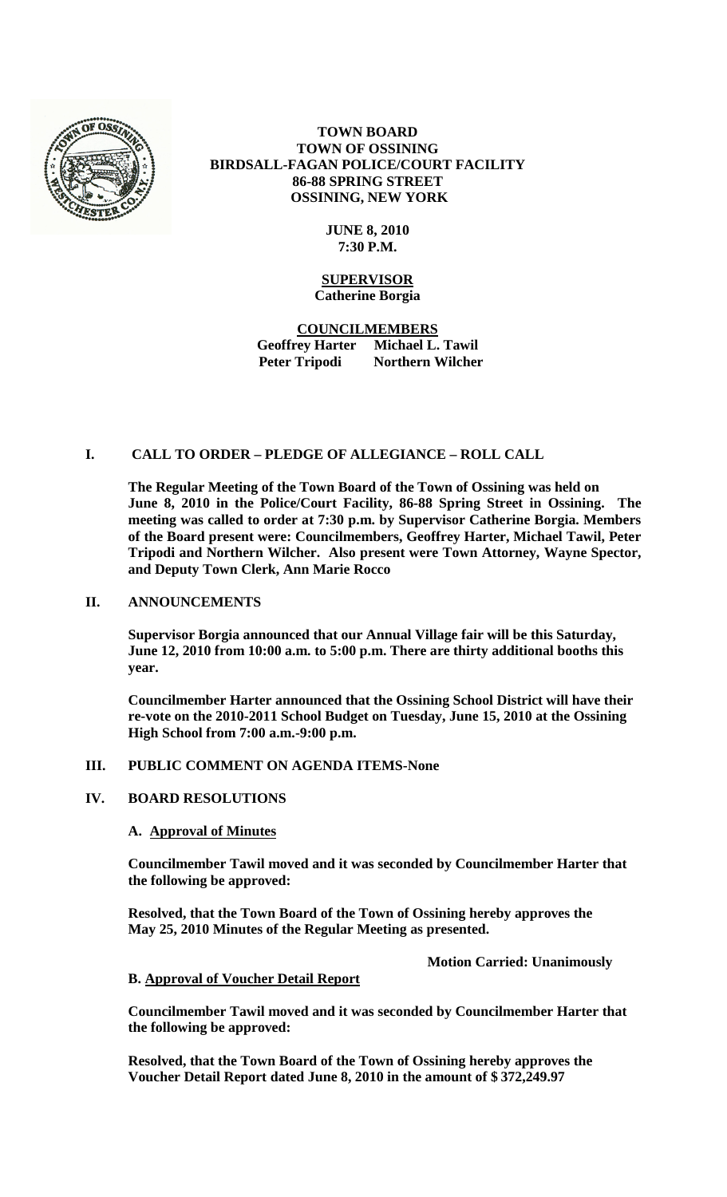

**TOWN BOARD TOWN OF OSSINING BIRDSALL-FAGAN POLICE/COURT FACILITY 86-88 SPRING STREET OSSINING, NEW YORK**

## **JUNE 8, 2010 7:30 P.M.**

## **SUPERVISOR Catherine Borgia**

**COUNCILMEMBERS Geoffrey Harter Michael L. Tawil Peter Tripodi Northern Wilcher**

# **I. CALL TO ORDER – PLEDGE OF ALLEGIANCE – ROLL CALL**

**The Regular Meeting of the Town Board of the Town of Ossining was held on June 8, 2010 in the Police/Court Facility, 86-88 Spring Street in Ossining. The meeting was called to order at 7:30 p.m. by Supervisor Catherine Borgia. Members of the Board present were: Councilmembers, Geoffrey Harter, Michael Tawil, Peter Tripodi and Northern Wilcher. Also present were Town Attorney, Wayne Spector, and Deputy Town Clerk, Ann Marie Rocco**

#### **II. ANNOUNCEMENTS**

**Supervisor Borgia announced that our Annual Village fair will be this Saturday, June 12, 2010 from 10:00 a.m. to 5:00 p.m. There are thirty additional booths this year.**

**Councilmember Harter announced that the Ossining School District will have their re-vote on the 2010-2011 School Budget on Tuesday, June 15, 2010 at the Ossining High School from 7:00 a.m.-9:00 p.m.** 

## **III. PUBLIC COMMENT ON AGENDA ITEMS-None**

#### **IV. BOARD RESOLUTIONS**

## **A. Approval of Minutes**

**Councilmember Tawil moved and it was seconded by Councilmember Harter that the following be approved:**

**Resolved, that the Town Board of the Town of Ossining hereby approves the May 25, 2010 Minutes of the Regular Meeting as presented.**

**Motion Carried: Unanimously**

#### **B. Approval of Voucher Detail Report**

**Councilmember Tawil moved and it was seconded by Councilmember Harter that the following be approved:**

**Resolved, that the Town Board of the Town of Ossining hereby approves the Voucher Detail Report dated June 8, 2010 in the amount of \$ 372,249.97**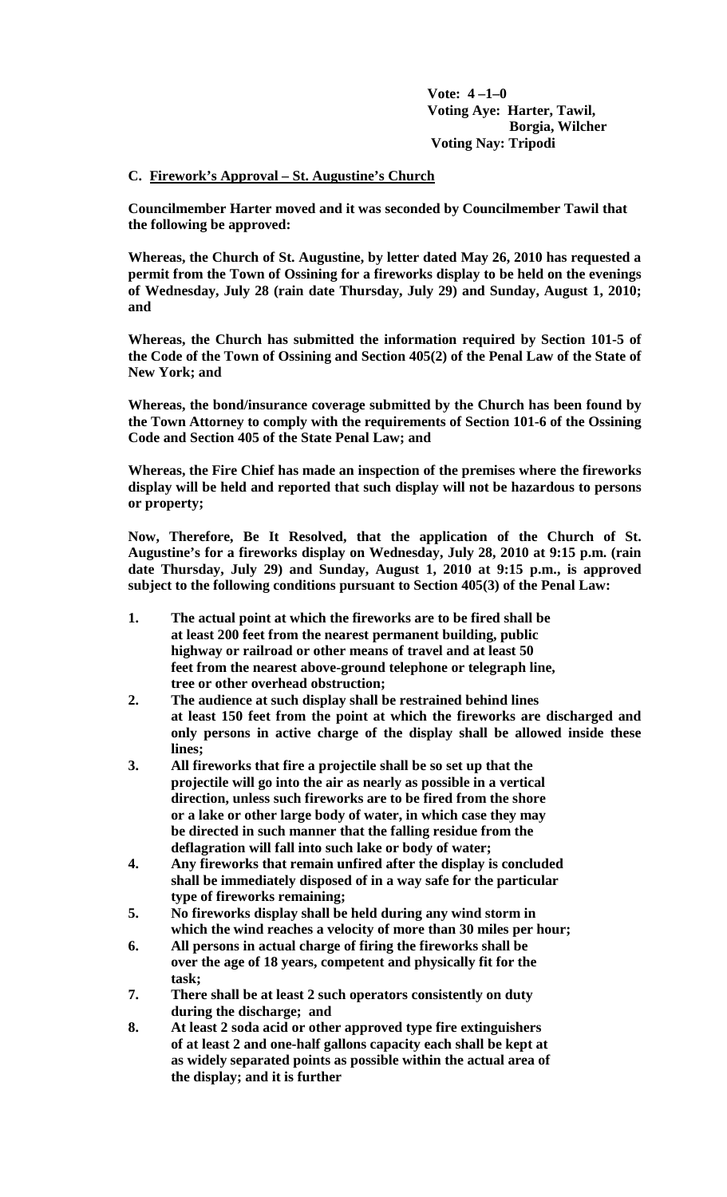**Vote: 4 –1–0 Voting Aye: Harter, Tawil, Borgia, Wilcher Voting Nay: Tripodi**

## **C. Firework's Approval – St. Augustine's Church**

**Councilmember Harter moved and it was seconded by Councilmember Tawil that the following be approved:**

**Whereas, the Church of St. Augustine, by letter dated May 26, 2010 has requested a permit from the Town of Ossining for a fireworks display to be held on the evenings of Wednesday, July 28 (rain date Thursday, July 29) and Sunday, August 1, 2010; and**

**Whereas, the Church has submitted the information required by Section 101-5 of the Code of the Town of Ossining and Section 405(2) of the Penal Law of the State of New York; and**

**Whereas, the bond/insurance coverage submitted by the Church has been found by the Town Attorney to comply with the requirements of Section 101-6 of the Ossining Code and Section 405 of the State Penal Law; and**

**Whereas, the Fire Chief has made an inspection of the premises where the fireworks display will be held and reported that such display will not be hazardous to persons or property;**

**Now, Therefore, Be It Resolved, that the application of the Church of St. Augustine's for a fireworks display on Wednesday, July 28, 2010 at 9:15 p.m. (rain date Thursday, July 29) and Sunday, August 1, 2010 at 9:15 p.m., is approved subject to the following conditions pursuant to Section 405(3) of the Penal Law:**

- **1. The actual point at which the fireworks are to be fired shall be at least 200 feet from the nearest permanent building, public highway or railroad or other means of travel and at least 50 feet from the nearest above-ground telephone or telegraph line, tree or other overhead obstruction;**
- **2. The audience at such display shall be restrained behind lines at least 150 feet from the point at which the fireworks are discharged and only persons in active charge of the display shall be allowed inside these lines;**
- **3. All fireworks that fire a projectile shall be so set up that the projectile will go into the air as nearly as possible in a vertical direction, unless such fireworks are to be fired from the shore or a lake or other large body of water, in which case they may be directed in such manner that the falling residue from the deflagration will fall into such lake or body of water;**
- **4. Any fireworks that remain unfired after the display is concluded shall be immediately disposed of in a way safe for the particular type of fireworks remaining;**
- **5. No fireworks display shall be held during any wind storm in which the wind reaches a velocity of more than 30 miles per hour;**
- **6. All persons in actual charge of firing the fireworks shall be over the age of 18 years, competent and physically fit for the task;**
- **7. There shall be at least 2 such operators consistently on duty during the discharge; and**
- **8. At least 2 soda acid or other approved type fire extinguishers of at least 2 and one-half gallons capacity each shall be kept at as widely separated points as possible within the actual area of the display; and it is further**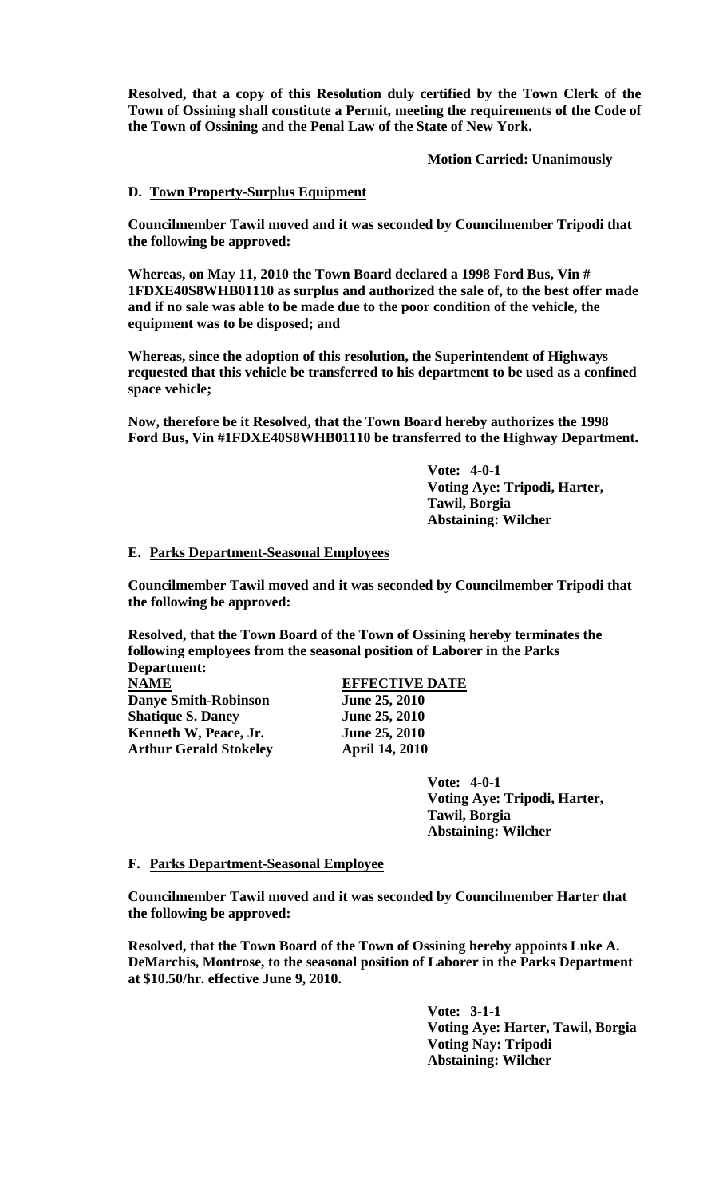**Resolved, that a copy of this Resolution duly certified by the Town Clerk of the Town of Ossining shall constitute a Permit, meeting the requirements of the Code of the Town of Ossining and the Penal Law of the State of New York.** 

**Motion Carried: Unanimously**

### **D. Town Property-Surplus Equipment**

**Councilmember Tawil moved and it was seconded by Councilmember Tripodi that the following be approved:**

**Whereas, on May 11, 2010 the Town Board declared a 1998 Ford Bus, Vin # 1FDXE40S8WHB01110 as surplus and authorized the sale of, to the best offer made and if no sale was able to be made due to the poor condition of the vehicle, the equipment was to be disposed; and**

**Whereas, since the adoption of this resolution, the Superintendent of Highways requested that this vehicle be transferred to his department to be used as a confined space vehicle;**

**Now, therefore be it Resolved, that the Town Board hereby authorizes the 1998 Ford Bus, Vin #1FDXE40S8WHB01110 be transferred to the Highway Department.**

> **Vote: 4-0-1 Voting Aye: Tripodi, Harter, Tawil, Borgia Abstaining: Wilcher**

#### **E. Parks Department-Seasonal Employees**

**Councilmember Tawil moved and it was seconded by Councilmember Tripodi that the following be approved:**

**Resolved, that the Town Board of the Town of Ossining hereby terminates the following employees from the seasonal position of Laborer in the Parks** 

**Department: Danye Smith-Robinson June 25, 2010**<br> **Shatique S. Daney June 25, 2010 Shatique S. Daney June 25, 2010**<br> **Kenneth W. Peace. Jr.** June 25, 2010 **Kenneth W, Peace, Jr. Arthur Gerald Stokeley April 14, 2010** 

**NAME EFFECTIVE DATE**

**Vote: 4-0-1 Voting Aye: Tripodi, Harter, Tawil, Borgia Abstaining: Wilcher**

#### **F. Parks Department-Seasonal Employee**

**Councilmember Tawil moved and it was seconded by Councilmember Harter that the following be approved:**

**Resolved, that the Town Board of the Town of Ossining hereby appoints Luke A. DeMarchis, Montrose, to the seasonal position of Laborer in the Parks Department at \$10.50/hr. effective June 9, 2010.**

> **Vote: 3-1-1 Voting Aye: Harter, Tawil, Borgia Voting Nay: Tripodi Abstaining: Wilcher**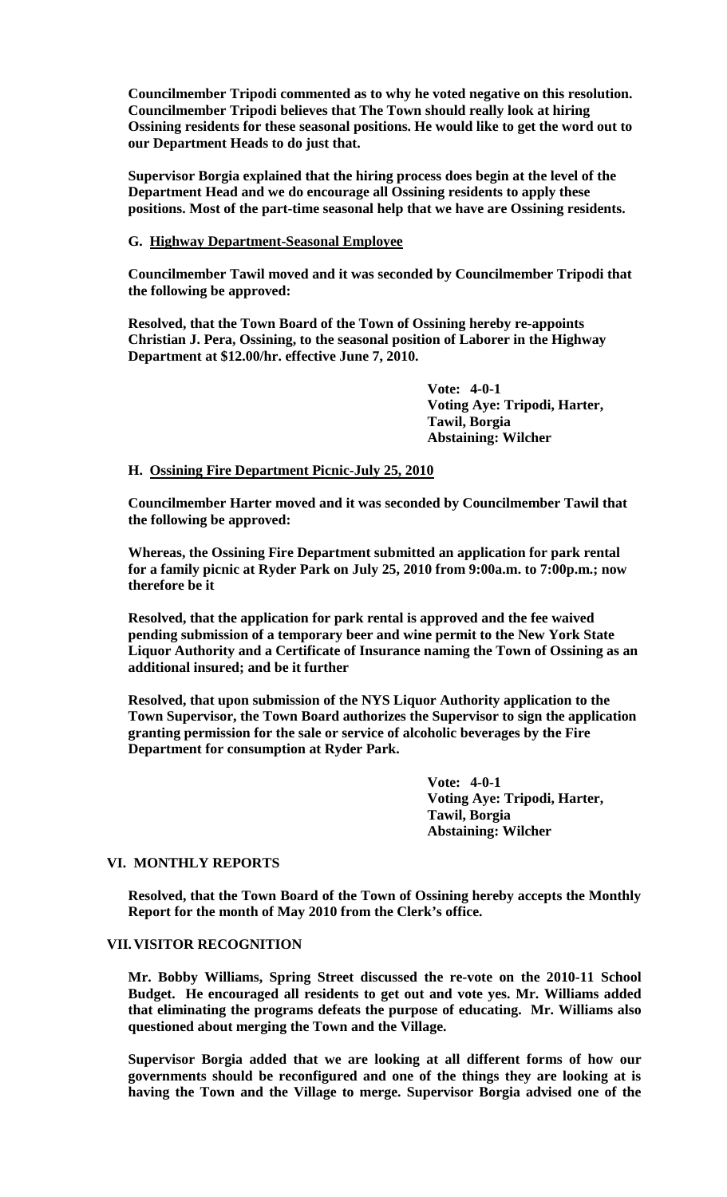**Councilmember Tripodi commented as to why he voted negative on this resolution. Councilmember Tripodi believes that The Town should really look at hiring Ossining residents for these seasonal positions. He would like to get the word out to our Department Heads to do just that.** 

**Supervisor Borgia explained that the hiring process does begin at the level of the Department Head and we do encourage all Ossining residents to apply these positions. Most of the part-time seasonal help that we have are Ossining residents.**

**G. Highway Department-Seasonal Employee**

**Councilmember Tawil moved and it was seconded by Councilmember Tripodi that the following be approved:**

**Resolved, that the Town Board of the Town of Ossining hereby re-appoints Christian J. Pera, Ossining, to the seasonal position of Laborer in the Highway Department at \$12.00/hr. effective June 7, 2010.**

> **Vote: 4-0-1 Voting Aye: Tripodi, Harter, Tawil, Borgia Abstaining: Wilcher**

**H. Ossining Fire Department Picnic-July 25, 2010**

**Councilmember Harter moved and it was seconded by Councilmember Tawil that the following be approved:**

**Whereas, the Ossining Fire Department submitted an application for park rental for a family picnic at Ryder Park on July 25, 2010 from 9:00a.m. to 7:00p.m.; now therefore be it**

**Resolved, that the application for park rental is approved and the fee waived pending submission of a temporary beer and wine permit to the New York State Liquor Authority and a Certificate of Insurance naming the Town of Ossining as an additional insured; and be it further** 

**Resolved, that upon submission of the NYS Liquor Authority application to the Town Supervisor, the Town Board authorizes the Supervisor to sign the application granting permission for the sale or service of alcoholic beverages by the Fire Department for consumption at Ryder Park.** 

> **Vote: 4-0-1 Voting Aye: Tripodi, Harter, Tawil, Borgia Abstaining: Wilcher**

## **VI. MONTHLY REPORTS**

**Resolved, that the Town Board of the Town of Ossining hereby accepts the Monthly Report for the month of May 2010 from the Clerk's office.**

### **VII.VISITOR RECOGNITION**

**Mr. Bobby Williams, Spring Street discussed the re-vote on the 2010-11 School Budget. He encouraged all residents to get out and vote yes. Mr. Williams added that eliminating the programs defeats the purpose of educating. Mr. Williams also questioned about merging the Town and the Village.**

**Supervisor Borgia added that we are looking at all different forms of how our governments should be reconfigured and one of the things they are looking at is having the Town and the Village to merge. Supervisor Borgia advised one of the**